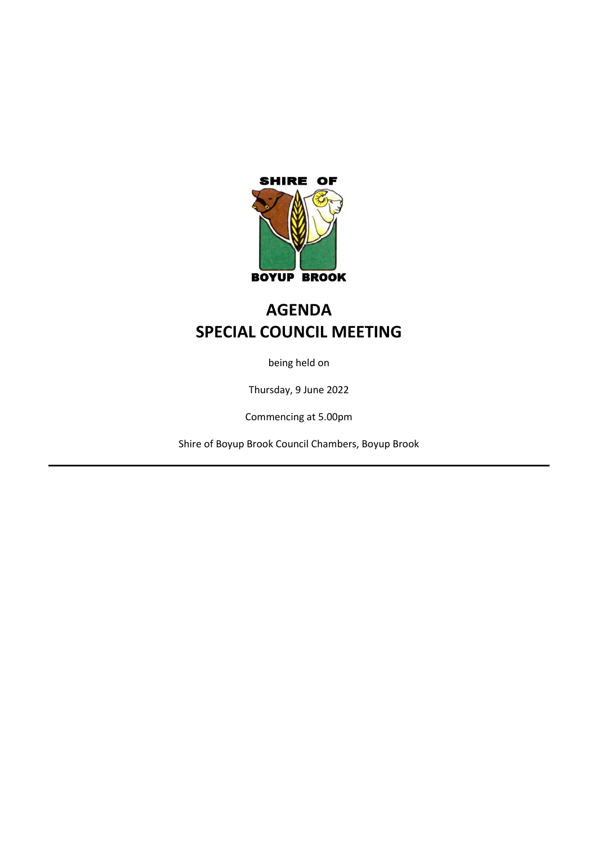

# **AGENDA SPECIAL COUNCIL MEETING**

being held on

Thursday, 9 June 2022

Commencing at 5.00pm

Shire of Boyup Brook Council Chambers, Boyup Brook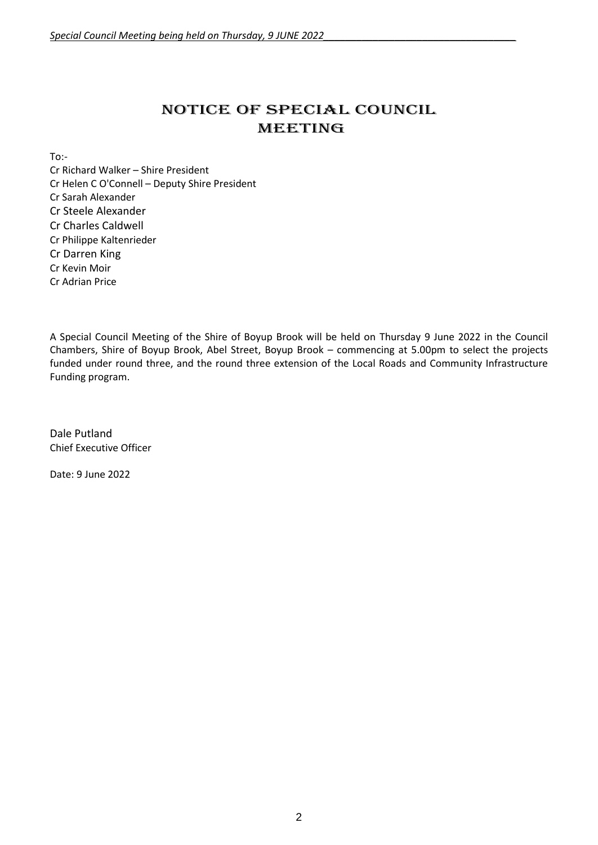# NOTICE OF Special COUNCIL MEETING

To:-

Cr Richard Walker – Shire President Cr Helen C O'Connell – Deputy Shire President Cr Sarah Alexander Cr Steele Alexander Cr Charles Caldwell Cr Philippe Kaltenrieder Cr Darren King Cr Kevin Moir Cr Adrian Price

A Special Council Meeting of the Shire of Boyup Brook will be held on Thursday 9 June 2022 in the Council Chambers, Shire of Boyup Brook, Abel Street, Boyup Brook – commencing at 5.00pm to select the projects funded under round three, and the round three extension of the Local Roads and Community Infrastructure Funding program.

Dale Putland Chief Executive Officer

Date: 9 June 2022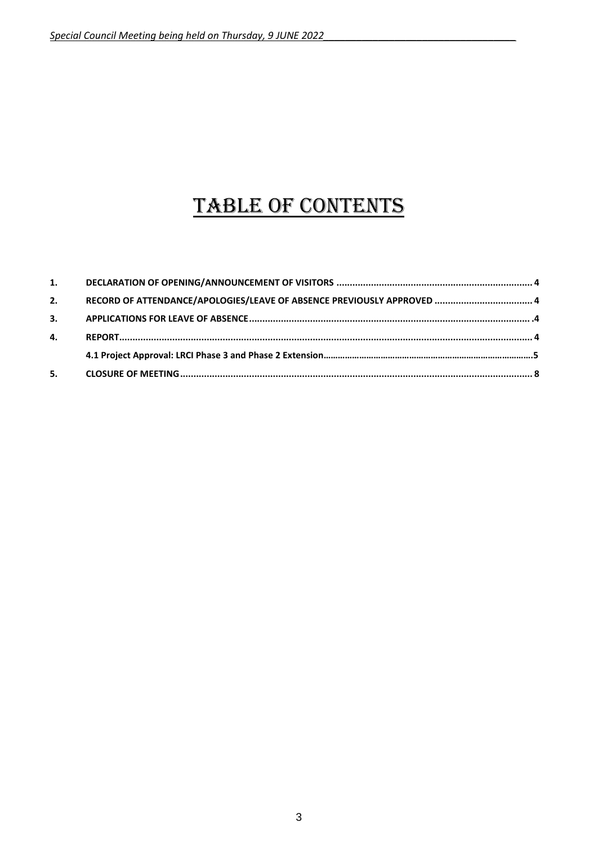# TABLE OF CONTENTS

| 2. | RECORD OF ATTENDANCE/APOLOGIES/LEAVE OF ABSENCE PREVIOUSLY APPROVED  4 |  |
|----|------------------------------------------------------------------------|--|
| 3. |                                                                        |  |
| 4. |                                                                        |  |
|    |                                                                        |  |
| 5. |                                                                        |  |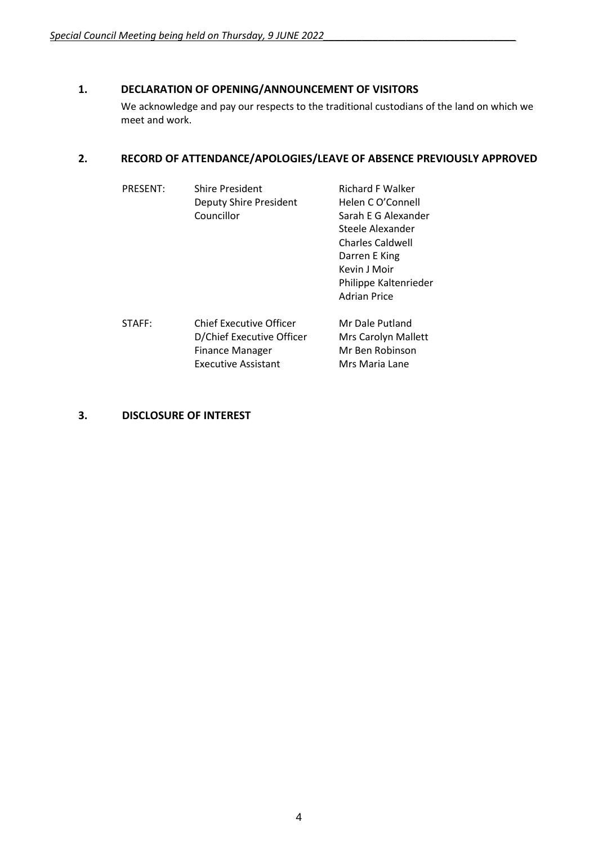## <span id="page-3-0"></span>**1. DECLARATION OF OPENING/ANNOUNCEMENT OF VISITORS**

We acknowledge and pay our respects to the traditional custodians of the land on which we meet and work.

### <span id="page-3-1"></span>**2. RECORD OF ATTENDANCE/APOLOGIES/LEAVE OF ABSENCE PREVIOUSLY APPROVED**

| <b>PRESENT:</b> | <b>Shire President</b><br>Deputy Shire President<br>Councillor                                                      | <b>Richard F Walker</b><br>Helen C O'Connell<br>Sarah E G Alexander<br>Steele Alexander<br><b>Charles Caldwell</b><br>Darren E King<br>Kevin J Moir<br>Philippe Kaltenrieder<br><b>Adrian Price</b> |
|-----------------|---------------------------------------------------------------------------------------------------------------------|-----------------------------------------------------------------------------------------------------------------------------------------------------------------------------------------------------|
| STAFF:          | <b>Chief Executive Officer</b><br>D/Chief Executive Officer<br><b>Finance Manager</b><br><b>Executive Assistant</b> | Mr Dale Putland<br>Mrs Carolyn Mallett<br>Mr Ben Robinson<br>Mrs Maria Lane                                                                                                                         |

### **3. DISCLOSURE OF INTEREST**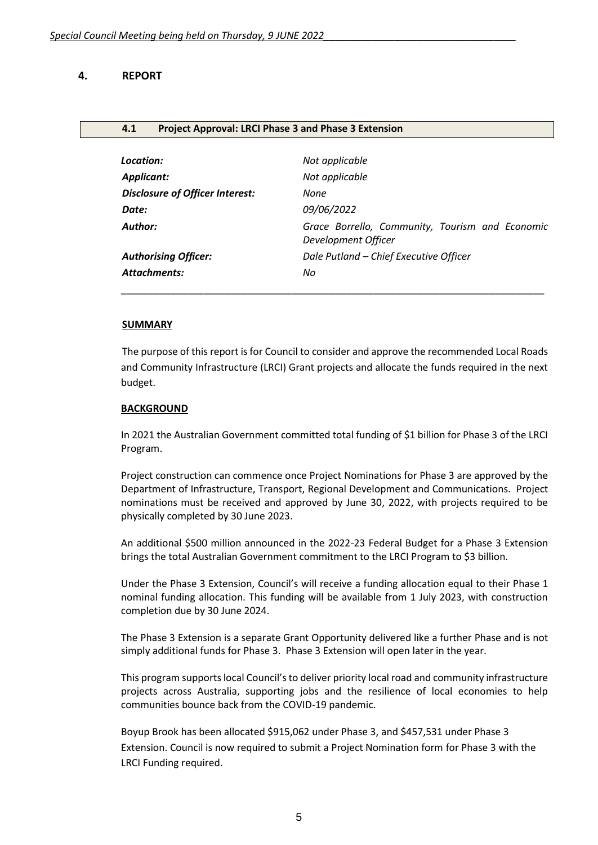#### **4. REPORT**

#### **4.1 Project Approval: LRCI Phase 3 and Phase 3 Extension**

| Location:                              | Not applicable                                                         |
|----------------------------------------|------------------------------------------------------------------------|
| Applicant:                             | Not applicable                                                         |
| <b>Disclosure of Officer Interest:</b> | None                                                                   |
| Date:                                  | 09/06/2022                                                             |
| Author:                                | Grace Borrello, Community, Tourism and Economic<br>Development Officer |
| <b>Authorising Officer:</b>            | Dale Putland - Chief Executive Officer                                 |
| <b>Attachments:</b>                    | No                                                                     |
|                                        |                                                                        |

#### **SUMMARY**

The purpose of this report is for Council to consider and approve the recommended Local Roads and Community Infrastructure (LRCI) Grant projects and allocate the funds required in the next budget.

#### **BACKGROUND**

In 2021 the Australian Government committed total funding of \$1 billion for Phase 3 of the LRCI Program.

Project construction can commence once Project Nominations for Phase 3 are approved by the Department of Infrastructure, Transport, Regional Development and Communications. Project nominations must be received and approved by June 30, 2022, with projects required to be physically completed by 30 June 2023.

An additional \$500 million announced in the 2022-23 Federal Budget for a Phase 3 Extension brings the total Australian Government commitment to the LRCI Program to \$3 billion.

Under the Phase 3 Extension, Council's will receive a funding allocation equal to their Phase 1 nominal funding allocation. This funding will be available from 1 July 2023, with construction completion due by 30 June 2024.

The Phase 3 Extension is a separate Grant Opportunity delivered like a further Phase and is not simply additional funds for Phase 3. Phase 3 Extension will open later in the year.

This program supports local Council's to deliver priority local road and community infrastructure projects across Australia, supporting jobs and the resilience of local economies to help communities bounce back from the COVID-19 pandemic.

Boyup Brook has been allocated \$915,062 under Phase 3, and \$457,531 under Phase 3 Extension. Council is now required to submit a Project Nomination form for Phase 3 with the LRCI Funding required.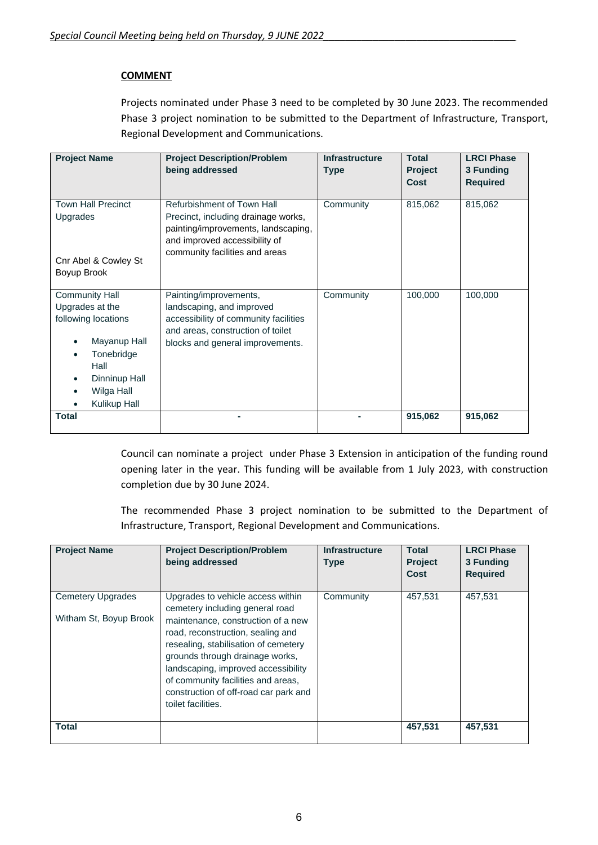## **COMMENT**

Projects nominated under Phase 3 need to be completed by 30 June 2023. The recommended Phase 3 project nomination to be submitted to the Department of Infrastructure, Transport, Regional Development and Communications.

| <b>Project Name</b>                                                                                                                                  | <b>Project Description/Problem</b><br>being addressed                                                                                                                       | <b>Infrastructure</b><br><b>Type</b> | <b>Total</b><br><b>Project</b><br>Cost | <b>LRCI Phase</b><br>3 Funding<br><b>Required</b> |
|------------------------------------------------------------------------------------------------------------------------------------------------------|-----------------------------------------------------------------------------------------------------------------------------------------------------------------------------|--------------------------------------|----------------------------------------|---------------------------------------------------|
| <b>Town Hall Precinct</b><br>Upgrades<br>Cnr Abel & Cowley St<br>Boyup Brook                                                                         | Refurbishment of Town Hall<br>Precinct, including drainage works,<br>painting/improvements, landscaping,<br>and improved accessibility of<br>community facilities and areas | Community                            | 815,062                                | 815,062                                           |
| <b>Community Hall</b><br>Upgrades at the<br>following locations<br>Mayanup Hall<br>Tonebridge<br>Hall<br>Dinninup Hall<br>Wilga Hall<br>Kulikup Hall | Painting/improvements,<br>landscaping, and improved<br>accessibility of community facilities<br>and areas, construction of toilet<br>blocks and general improvements.       | Community                            | 100,000                                | 100,000                                           |
| Total                                                                                                                                                |                                                                                                                                                                             |                                      | 915,062                                | 915,062                                           |

Council can nominate a project under Phase 3 Extension in anticipation of the funding round opening later in the year. This funding will be available from 1 July 2023, with construction completion due by 30 June 2024.

The recommended Phase 3 project nomination to be submitted to the Department of Infrastructure, Transport, Regional Development and Communications.

| <b>Project Name</b>                                | <b>Project Description/Problem</b><br>being addressed                                                                                                                                                                                                                                                                                                                  | <b>Infrastructure</b><br><b>Type</b> | <b>Total</b><br><b>Project</b><br>Cost | <b>LRCI Phase</b><br>3 Funding<br><b>Required</b> |
|----------------------------------------------------|------------------------------------------------------------------------------------------------------------------------------------------------------------------------------------------------------------------------------------------------------------------------------------------------------------------------------------------------------------------------|--------------------------------------|----------------------------------------|---------------------------------------------------|
| <b>Cemetery Upgrades</b><br>Witham St, Boyup Brook | Upgrades to vehicle access within<br>cemetery including general road<br>maintenance, construction of a new<br>road, reconstruction, sealing and<br>resealing, stabilisation of cemetery<br>grounds through drainage works,<br>landscaping, improved accessibility<br>of community facilities and areas.<br>construction of off-road car park and<br>toilet facilities. | Community                            | 457,531                                | 457,531                                           |
| Total                                              |                                                                                                                                                                                                                                                                                                                                                                        |                                      | 457,531                                | 457,531                                           |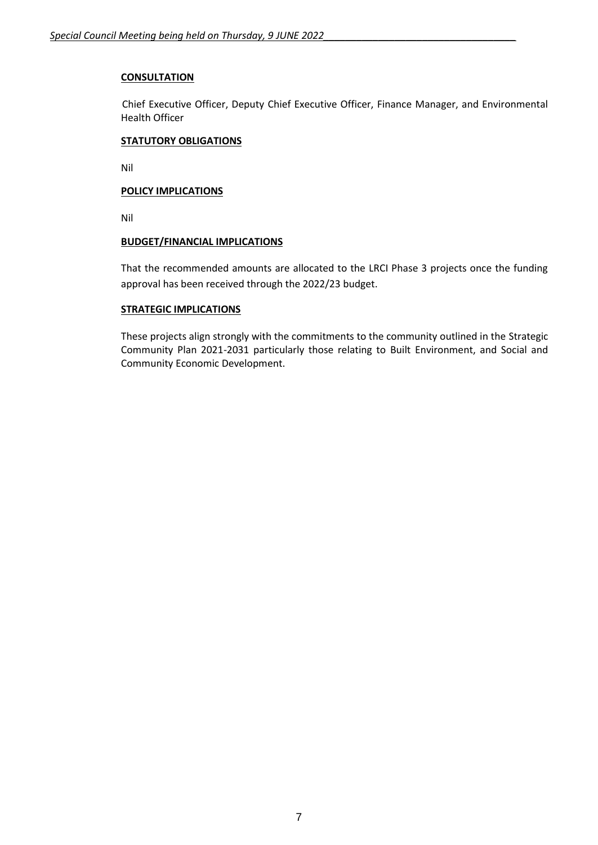#### **CONSULTATION**

Chief Executive Officer, Deputy Chief Executive Officer, Finance Manager, and Environmental Health Officer

#### **STATUTORY OBLIGATIONS**

Nil

#### **POLICY IMPLICATIONS**

Nil

#### **BUDGET/FINANCIAL IMPLICATIONS**

That the recommended amounts are allocated to the LRCI Phase 3 projects once the funding approval has been received through the 2022/23 budget.

#### **STRATEGIC IMPLICATIONS**

These projects align strongly with the commitments to the community outlined in the Strategic Community Plan 2021-2031 particularly those relating to Built Environment, and Social and Community Economic Development.